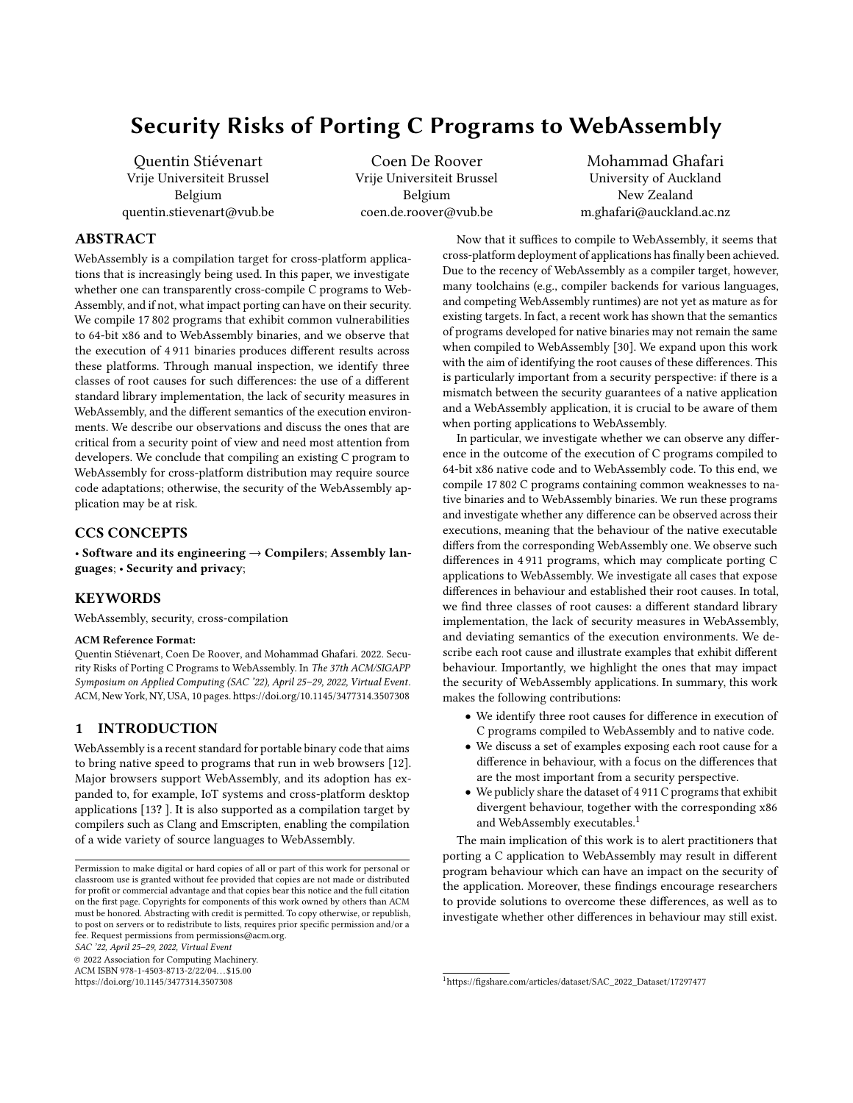# Security Risks of Porting C Programs to WebAssembly

[Quentin Stiévenart](https://orcid.org/0000-0001-9985-9808) Vrije Universiteit Brussel Belgium quentin.stievenart@vub.be

[Coen De Roover](https://orcid.org/0000-0002-1710-1268) Vrije Universiteit Brussel Belgium coen.de.roover@vub.be

[Mohammad Ghafari](https://orcid.org/0000-0002-1986-9668) University of Auckland New Zealand m.ghafari@auckland.ac.nz

# ABSTRACT

WebAssembly is a compilation target for cross-platform applications that is increasingly being used. In this paper, we investigate whether one can transparently cross-compile C programs to Web-Assembly, and if not, what impact porting can have on their security. We compile 17 802 programs that exhibit common vulnerabilities to 64-bit x86 and to WebAssembly binaries, and we observe that the execution of 4 911 binaries produces different results across these platforms. Through manual inspection, we identify three classes of root causes for such differences: the use of a different standard library implementation, the lack of security measures in WebAssembly, and the different semantics of the execution environments. We describe our observations and discuss the ones that are critical from a security point of view and need most attention from developers. We conclude that compiling an existing C program to WebAssembly for cross-platform distribution may require source code adaptations; otherwise, the security of the WebAssembly application may be at risk.

### CCS CONCEPTS

• Software and its engineering  $\rightarrow$  Compilers; Assembly languages; • Security and privacy;

# KEYWORDS

WebAssembly, security, cross-compilation

### ACM Reference Format:

Quentin Stiévenart, Coen De Roover, and Mohammad Ghafari. 2022. Security Risks of Porting C Programs to WebAssembly. In The 37th ACM/SIGAPP Symposium on Applied Computing (SAC '22), April 25–29, 2022, Virtual Event. ACM, New York, NY, USA, [10](#page-9-0) pages.<https://doi.org/10.1145/3477314.3507308>

# 1 INTRODUCTION

WebAssembly is a recent standard for portable binary code that aims to bring native speed to programs that run in web browsers [\[12\]](#page-9-1). Major browsers support WebAssembly, and its adoption has expanded to, for example, IoT systems and cross-platform desktop applications [\[13](#page-9-2)? ]. It is also supported as a compilation target by compilers such as Clang and Emscripten, enabling the compilation of a wide variety of source languages to WebAssembly.

SAC '22, April 25–29, 2022, Virtual Event

© 2022 Association for Computing Machinery.

ACM ISBN 978-1-4503-8713-2/22/04. . . \$15.00 <https://doi.org/10.1145/3477314.3507308>

Now that it suffices to compile to WebAssembly, it seems that cross-platform deployment of applications has finally been achieved. Due to the recency of WebAssembly as a compiler target, however, many toolchains (e.g., compiler backends for various languages, and competing WebAssembly runtimes) are not yet as mature as for existing targets. In fact, a recent work has shown that the semantics of programs developed for native binaries may not remain the same when compiled to WebAssembly [\[30\]](#page-9-3). We expand upon this work with the aim of identifying the root causes of these differences. This is particularly important from a security perspective: if there is a mismatch between the security guarantees of a native application and a WebAssembly application, it is crucial to be aware of them when porting applications to WebAssembly.

In particular, we investigate whether we can observe any difference in the outcome of the execution of C programs compiled to 64-bit x86 native code and to WebAssembly code. To this end, we compile 17 802 C programs containing common weaknesses to native binaries and to WebAssembly binaries. We run these programs and investigate whether any difference can be observed across their executions, meaning that the behaviour of the native executable differs from the corresponding WebAssembly one. We observe such differences in 4 911 programs, which may complicate porting C applications to WebAssembly. We investigate all cases that expose differences in behaviour and established their root causes. In total, we find three classes of root causes: a different standard library implementation, the lack of security measures in WebAssembly, and deviating semantics of the execution environments. We describe each root cause and illustrate examples that exhibit different behaviour. Importantly, we highlight the ones that may impact the security of WebAssembly applications. In summary, this work makes the following contributions:

- We identify three root causes for difference in execution of C programs compiled to WebAssembly and to native code.
- We discuss a set of examples exposing each root cause for a difference in behaviour, with a focus on the differences that are the most important from a security perspective.
- We publicly share the dataset of 4 911 C programs that exhibit divergent behaviour, together with the corresponding x86 and WebAssembly executables.<sup>[1](#page-0-0)</sup>

The main implication of this work is to alert practitioners that porting a C application to WebAssembly may result in different program behaviour which can have an impact on the security of the application. Moreover, these findings encourage researchers to provide solutions to overcome these differences, as well as to investigate whether other differences in behaviour may still exist.

Permission to make digital or hard copies of all or part of this work for personal or classroom use is granted without fee provided that copies are not made or distributed for profit or commercial advantage and that copies bear this notice and the full citation on the first page. Copyrights for components of this work owned by others than ACM must be honored. Abstracting with credit is permitted. To copy otherwise, or republish, to post on servers or to redistribute to lists, requires prior specific permission and/or a fee. Request permissions from permissions@acm.org.

<span id="page-0-0"></span><sup>1</sup>[https://figshare.com/articles/dataset/SAC\\_2022\\_Dataset/17297477](https://figshare.com/articles/dataset/SAC_2022_Dataset/17297477)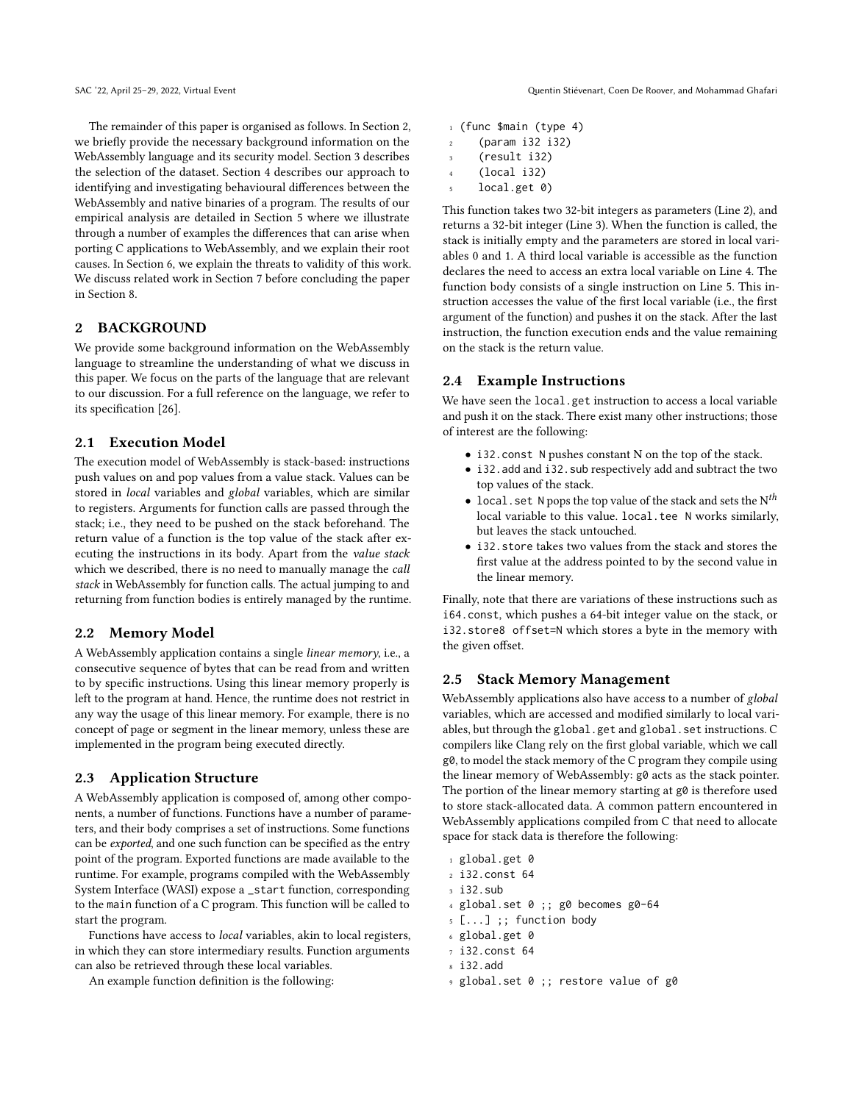The remainder of this paper is organised as follows. In Section [2,](#page-1-0) we briefly provide the necessary background information on the WebAssembly language and its security model. Section [3](#page-2-0) describes the selection of the dataset. Section [4](#page-3-0) describes our approach to identifying and investigating behavioural differences between the WebAssembly and native binaries of a program. The results of our empirical analysis are detailed in Section [5](#page-3-1) where we illustrate through a number of examples the differences that can arise when porting C applications to WebAssembly, and we explain their root causes. In Section [6,](#page-7-0) we explain the threats to validity of this work. We discuss related work in Section [7](#page-7-1) before concluding the paper in Section [8.](#page-8-0)

# <span id="page-1-0"></span>2 BACKGROUND

We provide some background information on the WebAssembly language to streamline the understanding of what we discuss in this paper. We focus on the parts of the language that are relevant to our discussion. For a full reference on the language, we refer to its specification [\[26\]](#page-9-4).

### 2.1 Execution Model

The execution model of WebAssembly is stack-based: instructions push values on and pop values from a value stack. Values can be stored in local variables and global variables, which are similar to registers. Arguments for function calls are passed through the stack; i.e., they need to be pushed on the stack beforehand. The return value of a function is the top value of the stack after executing the instructions in its body. Apart from the value stack which we described, there is no need to manually manage the call stack in WebAssembly for function calls. The actual jumping to and returning from function bodies is entirely managed by the runtime.

#### 2.2 Memory Model

A WebAssembly application contains a single linear memory, i.e., a consecutive sequence of bytes that can be read from and written to by specific instructions. Using this linear memory properly is left to the program at hand. Hence, the runtime does not restrict in any way the usage of this linear memory. For example, there is no concept of page or segment in the linear memory, unless these are implemented in the program being executed directly.

### <span id="page-1-1"></span>2.3 Application Structure

A WebAssembly application is composed of, among other components, a number of functions. Functions have a number of parameters, and their body comprises a set of instructions. Some functions can be exported, and one such function can be specified as the entry point of the program. Exported functions are made available to the runtime. For example, programs compiled with the WebAssembly System Interface (WASI) expose a \_start function, corresponding to the main function of a C program. This function will be called to start the program.

Functions have access to local variables, akin to local registers, in which they can store intermediary results. Function arguments can also be retrieved through these local variables.

An example function definition is the following:

- <sup>1</sup> (func \$main (type 4) <sup>2</sup> (param i32 i32)
- (result i32)
- (local i32)
- local.get 0)

This function takes two 32-bit integers as parameters (Line [2\)](#page-1-1), and returns a 32-bit integer (Line [3\)](#page-1-1). When the function is called, the stack is initially empty and the parameters are stored in local variables 0 and 1. A third local variable is accessible as the function declares the need to access an extra local variable on Line [4.](#page-1-1) The function body consists of a single instruction on Line [5.](#page-1-1) This instruction accesses the value of the first local variable (i.e., the first argument of the function) and pushes it on the stack. After the last instruction, the function execution ends and the value remaining on the stack is the return value.

### 2.4 Example Instructions

We have seen the local.get instruction to access a local variable and push it on the stack. There exist many other instructions; those of interest are the following:

- i32.const N pushes constant N on the top of the stack.
- i32.add and i32.sub respectively add and subtract the two top values of the stack.
- local.set N pops the top value of the stack and sets the  $N^{th}$ local variable to this value. local.tee N works similarly, but leaves the stack untouched.
- i32.store takes two values from the stack and stores the first value at the address pointed to by the second value in the linear memory.

Finally, note that there are variations of these instructions such as i64.const, which pushes a 64-bit integer value on the stack, or i32.store8 offset=N which stores a byte in the memory with the given offset.

### 2.5 Stack Memory Management

WebAssembly applications also have access to a number of global variables, which are accessed and modified similarly to local variables, but through the global.get and global.set instructions. C compilers like Clang rely on the first global variable, which we call g0, to model the stack memory of the C program they compile using the linear memory of WebAssembly: g0 acts as the stack pointer. The portion of the linear memory starting at g0 is therefore used to store stack-allocated data. A common pattern encountered in WebAssembly applications compiled from C that need to allocate space for stack data is therefore the following:

- 1 global.get 0
- <sup>2</sup> i32.const 64
- <sup>3</sup> i32.sub
- <sup>4</sup> global.set 0 ;; g0 becomes g0-64
- <sup>5</sup> [...] ;; function body
- <sup>6</sup> global.get 0
- <sup>7</sup> i32.const 64
- <sup>8</sup> i32.add
- <sup>9</sup> global.set 0 ;; restore value of g0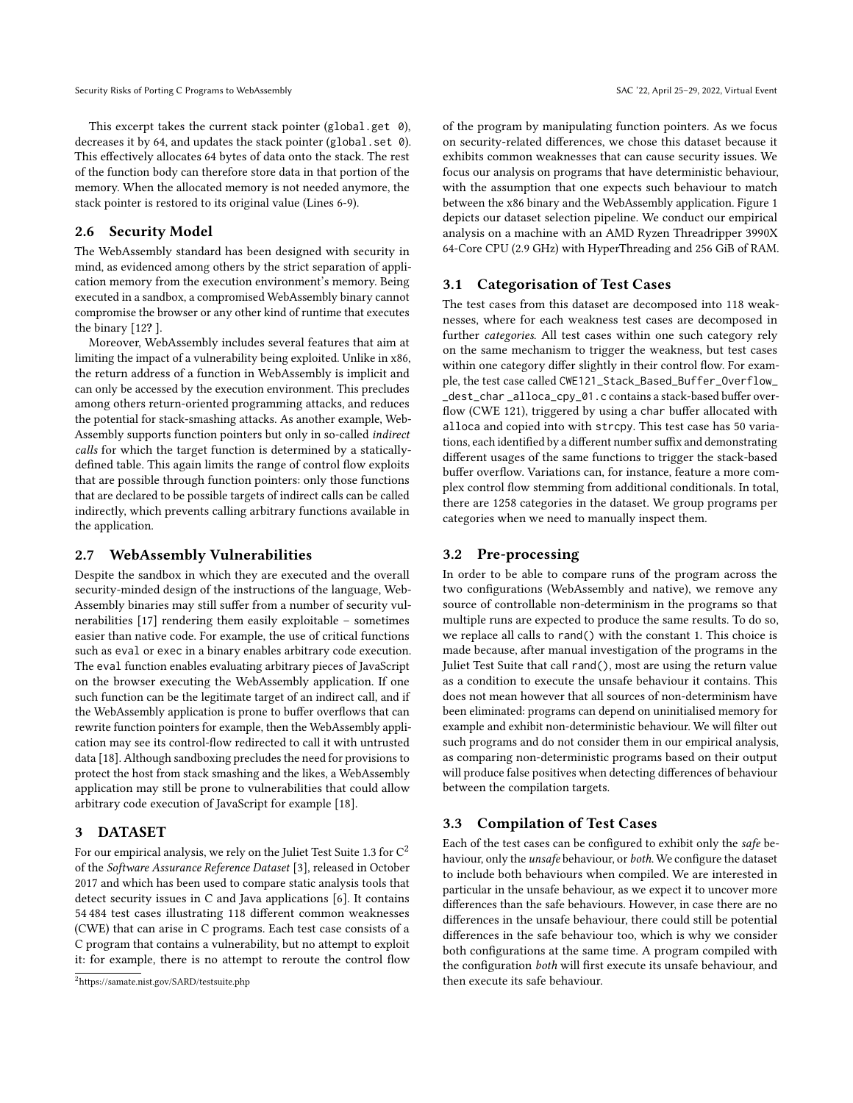This excerpt takes the current stack pointer (global.get 0), decreases it by 64, and updates the stack pointer (global.set 0). This effectively allocates 64 bytes of data onto the stack. The rest of the function body can therefore store data in that portion of the memory. When the allocated memory is not needed anymore, the stack pointer is restored to its original value (Lines 6-9).

### 2.6 Security Model

The WebAssembly standard has been designed with security in mind, as evidenced among others by the strict separation of application memory from the execution environment's memory. Being executed in a sandbox, a compromised WebAssembly binary cannot compromise the browser or any other kind of runtime that executes the binary [\[12](#page-9-1)? ].

Moreover, WebAssembly includes several features that aim at limiting the impact of a vulnerability being exploited. Unlike in x86, the return address of a function in WebAssembly is implicit and can only be accessed by the execution environment. This precludes among others return-oriented programming attacks, and reduces the potential for stack-smashing attacks. As another example, Web-Assembly supports function pointers but only in so-called indirect calls for which the target function is determined by a staticallydefined table. This again limits the range of control flow exploits that are possible through function pointers: only those functions that are declared to be possible targets of indirect calls can be called indirectly, which prevents calling arbitrary functions available in the application.

### 2.7 WebAssembly Vulnerabilities

Despite the sandbox in which they are executed and the overall security-minded design of the instructions of the language, Web-Assembly binaries may still suffer from a number of security vulnerabilities [\[17\]](#page-9-5) rendering them easily exploitable – sometimes easier than native code. For example, the use of critical functions such as eval or exec in a binary enables arbitrary code execution. The eval function enables evaluating arbitrary pieces of JavaScript on the browser executing the WebAssembly application. If one such function can be the legitimate target of an indirect call, and if the WebAssembly application is prone to buffer overflows that can rewrite function pointers for example, then the WebAssembly application may see its control-flow redirected to call it with untrusted data [\[18\]](#page-9-6). Although sandboxing precludes the need for provisions to protect the host from stack smashing and the likes, a WebAssembly application may still be prone to vulnerabilities that could allow arbitrary code execution of JavaScript for example [\[18\]](#page-9-6).

### <span id="page-2-0"></span>3 DATASET

For our empirical analysis, we rely on the Juliet Test Suite 1.3 for  $C^2$  $C^2$ of the Software Assurance Reference Dataset [\[3\]](#page-8-1), released in October 2017 and which has been used to compare static analysis tools that detect security issues in C and Java applications [\[6\]](#page-8-2). It contains 54 484 test cases illustrating 118 different common weaknesses (CWE) that can arise in C programs. Each test case consists of a C program that contains a vulnerability, but no attempt to exploit it: for example, there is no attempt to reroute the control flow of the program by manipulating function pointers. As we focus on security-related differences, we chose this dataset because it exhibits common weaknesses that can cause security issues. We focus our analysis on programs that have deterministic behaviour, with the assumption that one expects such behaviour to match between the x86 binary and the WebAssembly application. Figure [1](#page-3-2) depicts our dataset selection pipeline. We conduct our empirical analysis on a machine with an AMD Ryzen Threadripper 3990X 64-Core CPU (2.9 GHz) with HyperThreading and 256 GiB of RAM.

## 3.1 Categorisation of Test Cases

The test cases from this dataset are decomposed into 118 weaknesses, where for each weakness test cases are decomposed in further categories. All test cases within one such category rely on the same mechanism to trigger the weakness, but test cases within one category differ slightly in their control flow. For example, the test case called CWE121\_Stack\_Based\_Buffer\_Overflow\_ \_dest\_char \_alloca\_cpy\_01.c contains a stack-based buffer overflow (CWE 121), triggered by using a char buffer allocated with alloca and copied into with strcpy. This test case has 50 variations, each identified by a different number suffix and demonstrating different usages of the same functions to trigger the stack-based buffer overflow. Variations can, for instance, feature a more complex control flow stemming from additional conditionals. In total, there are 1258 categories in the dataset. We group programs per categories when we need to manually inspect them.

#### 3.2 Pre-processing

In order to be able to compare runs of the program across the two configurations (WebAssembly and native), we remove any source of controllable non-determinism in the programs so that multiple runs are expected to produce the same results. To do so, we replace all calls to rand() with the constant 1. This choice is made because, after manual investigation of the programs in the Juliet Test Suite that call rand(), most are using the return value as a condition to execute the unsafe behaviour it contains. This does not mean however that all sources of non-determinism have been eliminated: programs can depend on uninitialised memory for example and exhibit non-deterministic behaviour. We will filter out such programs and do not consider them in our empirical analysis, as comparing non-deterministic programs based on their output will produce false positives when detecting differences of behaviour between the compilation targets.

# 3.3 Compilation of Test Cases

Each of the test cases can be configured to exhibit only the safe behaviour, only the unsafe behaviour, or both. We configure the dataset to include both behaviours when compiled. We are interested in particular in the unsafe behaviour, as we expect it to uncover more differences than the safe behaviours. However, in case there are no differences in the unsafe behaviour, there could still be potential differences in the safe behaviour too, which is why we consider both configurations at the same time. A program compiled with the configuration both will first execute its unsafe behaviour, and then execute its safe behaviour.

<span id="page-2-1"></span><sup>2</sup><https://samate.nist.gov/SARD/testsuite.php>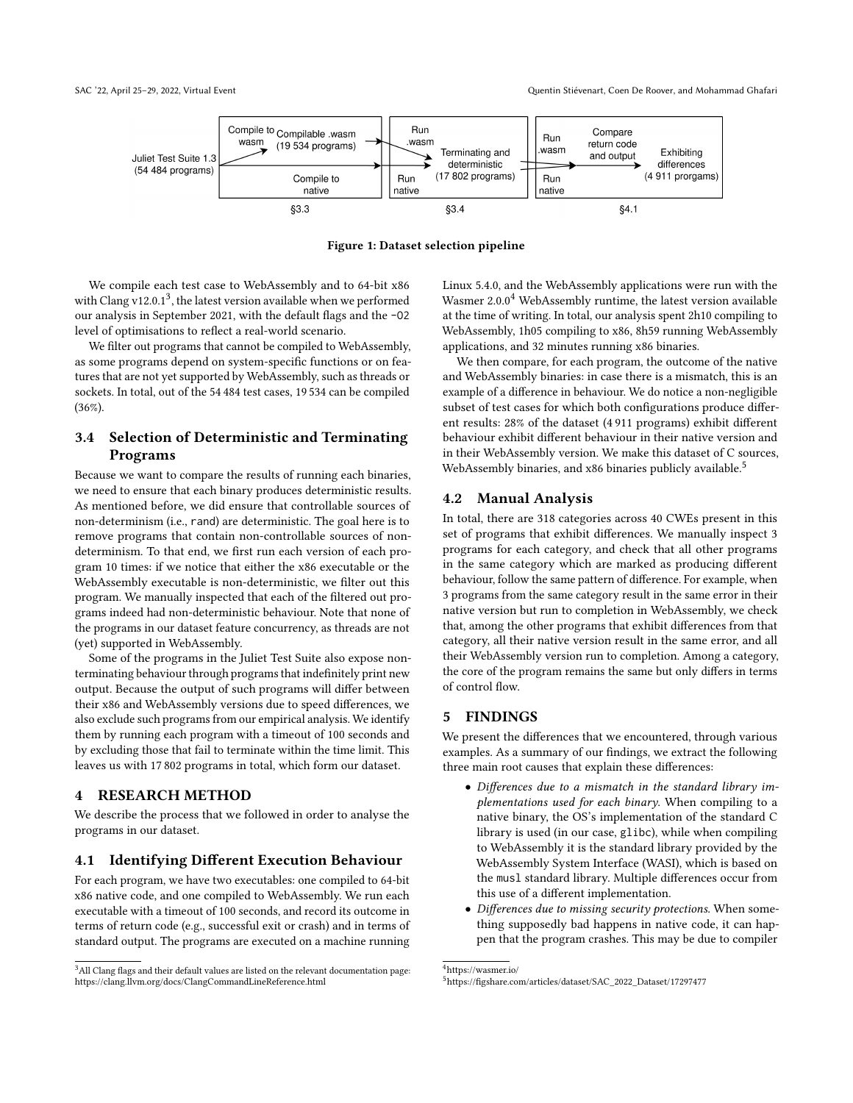<span id="page-3-2"></span>

Figure 1: Dataset selection pipeline

We compile each test case to WebAssembly and to 64-bit x86 with Clang  $v12.0.1<sup>3</sup>$  $v12.0.1<sup>3</sup>$  $v12.0.1<sup>3</sup>$ , the latest version available when we performed our analysis in September 2021, with the default flags and the -O2 level of optimisations to reflect a real-world scenario.

We filter out programs that cannot be compiled to WebAssembly, as some programs depend on system-specific functions or on features that are not yet supported by WebAssembly, such as threads or sockets. In total, out of the 54 484 test cases, 19 534 can be compiled (36%).

# 3.4 Selection of Deterministic and Terminating Programs

Because we want to compare the results of running each binaries, we need to ensure that each binary produces deterministic results. As mentioned before, we did ensure that controllable sources of non-determinism (i.e., rand) are deterministic. The goal here is to remove programs that contain non-controllable sources of nondeterminism. To that end, we first run each version of each program 10 times: if we notice that either the x86 executable or the WebAssembly executable is non-deterministic, we filter out this program. We manually inspected that each of the filtered out programs indeed had non-deterministic behaviour. Note that none of the programs in our dataset feature concurrency, as threads are not (yet) supported in WebAssembly.

Some of the programs in the Juliet Test Suite also expose nonterminating behaviour through programs that indefinitely print new output. Because the output of such programs will differ between their x86 and WebAssembly versions due to speed differences, we also exclude such programs from our empirical analysis. We identify them by running each program with a timeout of 100 seconds and by excluding those that fail to terminate within the time limit. This leaves us with 17 802 programs in total, which form our dataset.

# <span id="page-3-0"></span>4 RESEARCH METHOD

We describe the process that we followed in order to analyse the programs in our dataset.

### 4.1 Identifying Different Execution Behaviour

For each program, we have two executables: one compiled to 64-bit x86 native code, and one compiled to WebAssembly. We run each executable with a timeout of 100 seconds, and record its outcome in terms of return code (e.g., successful exit or crash) and in terms of standard output. The programs are executed on a machine running

Linux 5.4.0, and the WebAssembly applications were run with the Wasmer  $2.0.0<sup>4</sup>$  $2.0.0<sup>4</sup>$  $2.0.0<sup>4</sup>$  WebAssembly runtime, the latest version available at the time of writing. In total, our analysis spent 2h10 compiling to WebAssembly, 1h05 compiling to x86, 8h59 running WebAssembly applications, and 32 minutes running x86 binaries.

We then compare, for each program, the outcome of the native and WebAssembly binaries: in case there is a mismatch, this is an example of a difference in behaviour. We do notice a non-negligible subset of test cases for which both configurations produce different results: 28% of the dataset (4 911 programs) exhibit different behaviour exhibit different behaviour in their native version and in their WebAssembly version. We make this dataset of C sources, WebAssembly binaries, and x86 binaries publicly available.<sup>[5](#page-3-5)</sup>

### 4.2 Manual Analysis

In total, there are 318 categories across 40 CWEs present in this set of programs that exhibit differences. We manually inspect 3 programs for each category, and check that all other programs in the same category which are marked as producing different behaviour, follow the same pattern of difference. For example, when 3 programs from the same category result in the same error in their native version but run to completion in WebAssembly, we check that, among the other programs that exhibit differences from that category, all their native version result in the same error, and all their WebAssembly version run to completion. Among a category, the core of the program remains the same but only differs in terms of control flow.

## <span id="page-3-1"></span>5 FINDINGS

We present the differences that we encountered, through various examples. As a summary of our findings, we extract the following three main root causes that explain these differences:

- Differences due to a mismatch in the standard library implementations used for each binary. When compiling to a native binary, the OS's implementation of the standard C library is used (in our case, glibc), while when compiling to WebAssembly it is the standard library provided by the WebAssembly System Interface (WASI), which is based on the musl standard library. Multiple differences occur from this use of a different implementation.
- Differences due to missing security protections. When something supposedly bad happens in native code, it can happen that the program crashes. This may be due to compiler

<span id="page-3-4"></span><sup>4</sup><https://wasmer.io/>

<span id="page-3-3"></span><sup>&</sup>lt;sup>3</sup>All Clang flags and their default values are listed on the relevant documentation page: <https://clang.llvm.org/docs/ClangCommandLineReference.html>

<span id="page-3-5"></span><sup>5</sup>[https://figshare.com/articles/dataset/SAC\\_2022\\_Dataset/17297477](https://figshare.com/articles/dataset/SAC_2022_Dataset/17297477)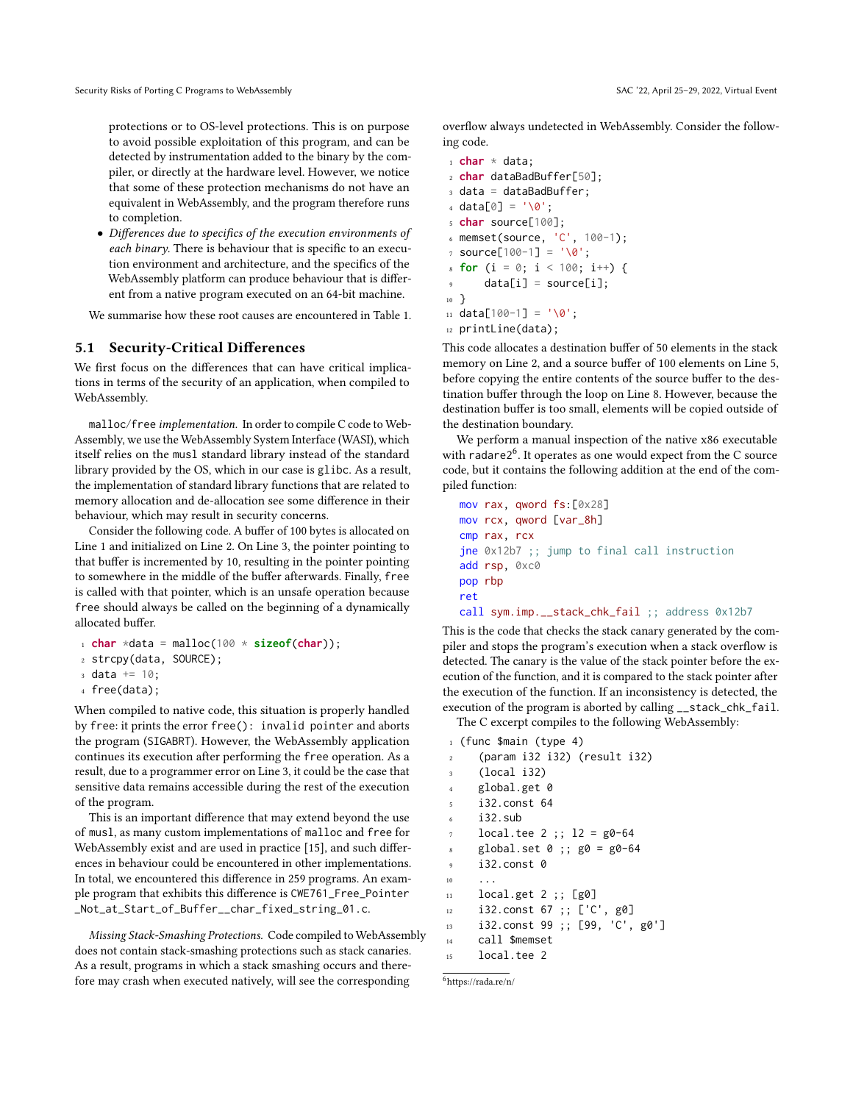protections or to OS-level protections. This is on purpose to avoid possible exploitation of this program, and can be detected by instrumentation added to the binary by the compiler, or directly at the hardware level. However, we notice that some of these protection mechanisms do not have an equivalent in WebAssembly, and the program therefore runs to completion.

• Differences due to specifics of the execution environments of each binary. There is behaviour that is specific to an execution environment and architecture, and the specifics of the WebAssembly platform can produce behaviour that is different from a native program executed on an 64-bit machine.

We summarise how these root causes are encountered in Table [1.](#page-5-0)

### 5.1 Security-Critical Differences

We first focus on the differences that can have critical implications in terms of the security of an application, when compiled to WebAssembly.

malloc/free implementation. In order to compile C code to Web-Assembly, we use the WebAssembly System Interface (WASI), which itself relies on the musl standard library instead of the standard library provided by the OS, which in our case is glibc. As a result, the implementation of standard library functions that are related to memory allocation and de-allocation see some difference in their behaviour, which may result in security concerns.

Consider the following code. A buffer of 100 bytes is allocated on Line 1 and initialized on Line 2. On Line 3, the pointer pointing to that buffer is incremented by 10, resulting in the pointer pointing to somewhere in the middle of the buffer afterwards. Finally, free is called with that pointer, which is an unsafe operation because free should always be called on the beginning of a dynamically allocated buffer.

```
\frac{1}{1} char *data = malloc(100 * sizeof(char));
```

```
2 strcpy(data, SOURCE);
```

```
3 \text{ data } += 10;
```

```
4 free(data);
```
When compiled to native code, this situation is properly handled by free: it prints the error free(): invalid pointer and aborts the program (SIGABRT). However, the WebAssembly application continues its execution after performing the free operation. As a result, due to a programmer error on Line 3, it could be the case that sensitive data remains accessible during the rest of the execution of the program.

This is an important difference that may extend beyond the use of musl, as many custom implementations of malloc and free for WebAssembly exist and are used in practice [\[15\]](#page-9-7), and such differences in behaviour could be encountered in other implementations. In total, we encountered this difference in 259 programs. An example program that exhibits this difference is CWE761\_Free\_Pointer \_Not\_at\_Start\_of\_Buffer\_\_char\_fixed\_string\_01.c.

<span id="page-4-0"></span>Missing Stack-Smashing Protections. Code compiled to WebAssembly does not contain stack-smashing protections such as stack canaries. As a result, programs in which a stack smashing occurs and therefore may crash when executed natively, will see the corresponding

overflow always undetected in WebAssembly. Consider the following code.

```
1 char * data;
2 char dataBadBuffer[50];
3 data = dataBadBuffer;
4 \text{ data} [0] = ' \0;
5 char source[100];
6 memset(source, 'C', 100-1);
7 source[100-1] = '\0';
s for (i = 0; i < 100; i++) {
      data[i] = source[i];10 }
11 data[100-1] = '0';12 printLine(data);
```
This code allocates a destination buffer of 50 elements in the stack memory on Line [2,](#page-4-0) and a source buffer of 100 elements on Line [5,](#page-4-0) before copying the entire contents of the source buffer to the destination buffer through the loop on Line [8.](#page-4-0) However, because the destination buffer is too small, elements will be copied outside of the destination boundary.

We perform a manual inspection of the native x86 executable with radare2<sup>[6](#page-4-1)</sup>. It operates as one would expect from the C source code, but it contains the following addition at the end of the compiled function:

```
mov rax, qword fs:[0x28]
mov rcx, qword [var_8h]
cmp rax, rcx
jne 0x12b7 ;; jump to final call instruction
add rsp, 0xc0
pop rbp
ret
call sym.imp.__stack_chk_fail ;; address 0x12b7
```
This is the code that checks the stack canary generated by the compiler and stops the program's execution when a stack overflow is detected. The canary is the value of the stack pointer before the execution of the function, and it is compared to the stack pointer after the execution of the function. If an inconsistency is detected, the execution of the program is aborted by calling \_\_stack\_chk\_fail.

The C excerpt compiles to the following WebAssembly:

```
1 (func $main (type 4)
     2 (param i32 i32) (result i32)
3 (local i32)
     global.get 0
     5 i32.const 64
     i32.sub
     local.tee 2 ;; 12 = g0-64global.set 0 ;; g0 = g0-649 i32.const 0
10 \qquad \ldots11 local.get 2 ;; [g0]
12 i32.const 67 ;; ['C', g0]
13 i32.const 99 ;; [99, 'C', g0']
14 call $memset
     local.tee 2
```

```
6https://rada.re/n/
```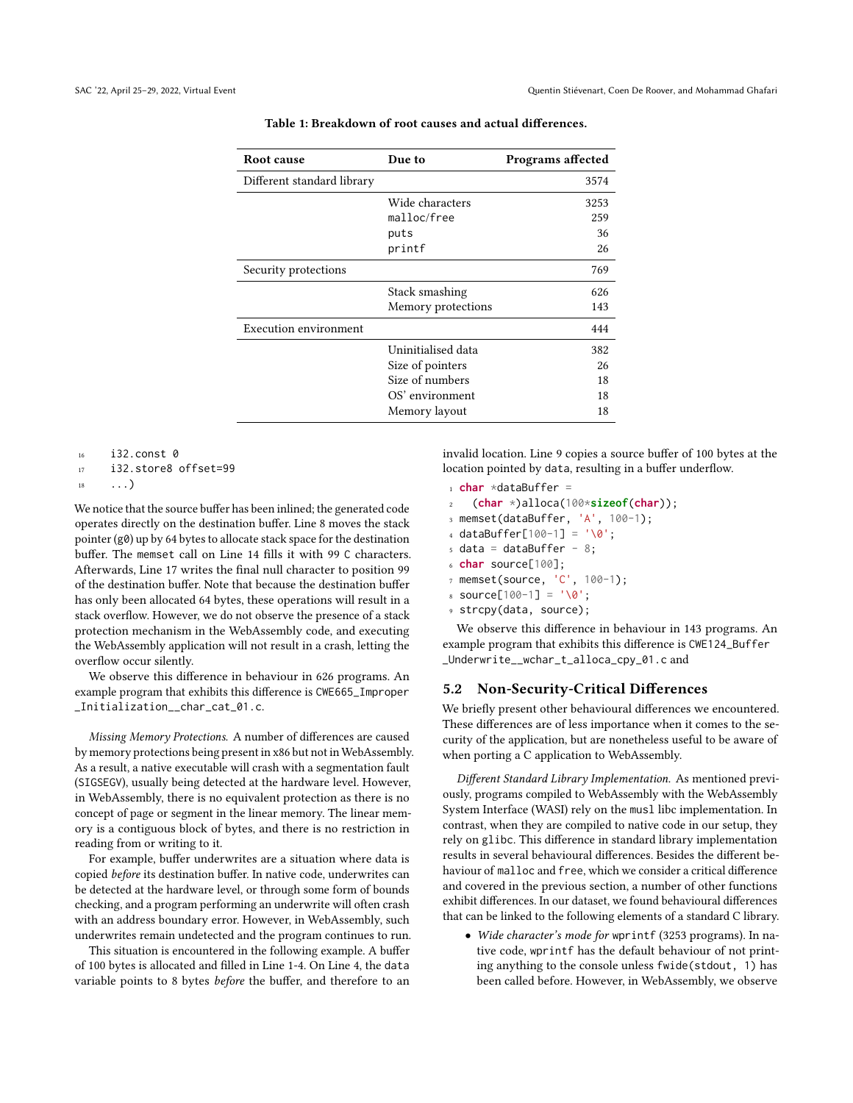<span id="page-5-0"></span>

| Root cause                   | Due to             | Programs affected |
|------------------------------|--------------------|-------------------|
| Different standard library   |                    | 3574              |
|                              | Wide characters    | 3253              |
|                              | malloc/free        | 259               |
|                              | puts               | 36                |
|                              | printf             | 26                |
| Security protections         |                    | 769               |
|                              | Stack smashing     | 626               |
|                              | Memory protections | 143               |
| <b>Execution environment</b> |                    | 444               |
|                              | Uninitialised data | 382               |
|                              | Size of pointers   | 26                |
|                              | Size of numbers    | 18                |
|                              | OS' environment    | 18                |
|                              | Memory layout      | 18                |

| Table 1: Breakdown of root causes and actual differences. |
|-----------------------------------------------------------|
|-----------------------------------------------------------|

<sup>16</sup> i32.const 0

<sup>17</sup> i32.store8 offset=99

 $\ldots$ )

We notice that the source buffer has been inlined; the generated code operates directly on the destination buffer. Line [8](#page-4-0) moves the stack pointer (g0) up by 64 bytes to allocate stack space for the destination buffer. The memset call on Line [14](#page-4-0) fills it with 99 C characters. Afterwards, Line [17](#page-4-0) writes the final null character to position 99 of the destination buffer. Note that because the destination buffer has only been allocated 64 bytes, these operations will result in a stack overflow. However, we do not observe the presence of a stack protection mechanism in the WebAssembly code, and executing the WebAssembly application will not result in a crash, letting the overflow occur silently.

We observe this difference in behaviour in 626 programs. An example program that exhibits this difference is CWE665\_Improper \_Initialization\_\_char\_cat\_01.c.

Missing Memory Protections. A number of differences are caused by memory protections being present in x86 but not in WebAssembly. As a result, a native executable will crash with a segmentation fault (SIGSEGV), usually being detected at the hardware level. However, in WebAssembly, there is no equivalent protection as there is no concept of page or segment in the linear memory. The linear memory is a contiguous block of bytes, and there is no restriction in reading from or writing to it.

For example, buffer underwrites are a situation where data is copied before its destination buffer. In native code, underwrites can be detected at the hardware level, or through some form of bounds checking, and a program performing an underwrite will often crash with an address boundary error. However, in WebAssembly, such underwrites remain undetected and the program continues to run.

This situation is encountered in the following example. A buffer of 100 bytes is allocated and filled in Line 1-4. On Line 4, the data variable points to 8 bytes before the buffer, and therefore to an invalid location. Line 9 copies a source buffer of 100 bytes at the location pointed by data, resulting in a buffer underflow.

```
1 char *dataBuffer =
```
- <sup>2</sup> (**char** \*)alloca(100\***sizeof**(**char**));
- $3$  memset(dataBuffer, 'A',  $100-1$ );
- <sup>4</sup> dataBuffer[100-1] = '\0';
- $5$  data = dataBuffer 8;
- char source[100];
- memset(source, 'C', 100-1);
- $source[100-1] = '0';$
- <sup>9</sup> strcpy(data, source);

We observe this difference in behaviour in 143 programs. An example program that exhibits this difference is CWE124\_Buffer \_Underwrite\_\_wchar\_t\_alloca\_cpy\_01.c and

# 5.2 Non-Security-Critical Differences

We briefly present other behavioural differences we encountered. These differences are of less importance when it comes to the security of the application, but are nonetheless useful to be aware of when porting a C application to WebAssembly.

Different Standard Library Implementation. As mentioned previously, programs compiled to WebAssembly with the WebAssembly System Interface (WASI) rely on the musl libc implementation. In contrast, when they are compiled to native code in our setup, they rely on glibc. This difference in standard library implementation results in several behavioural differences. Besides the different behaviour of malloc and free, which we consider a critical difference and covered in the previous section, a number of other functions exhibit differences. In our dataset, we found behavioural differences that can be linked to the following elements of a standard C library.

• Wide character's mode for wprintf (3253 programs). In native code, wprintf has the default behaviour of not printing anything to the console unless fwide(stdout, 1) has been called before. However, in WebAssembly, we observe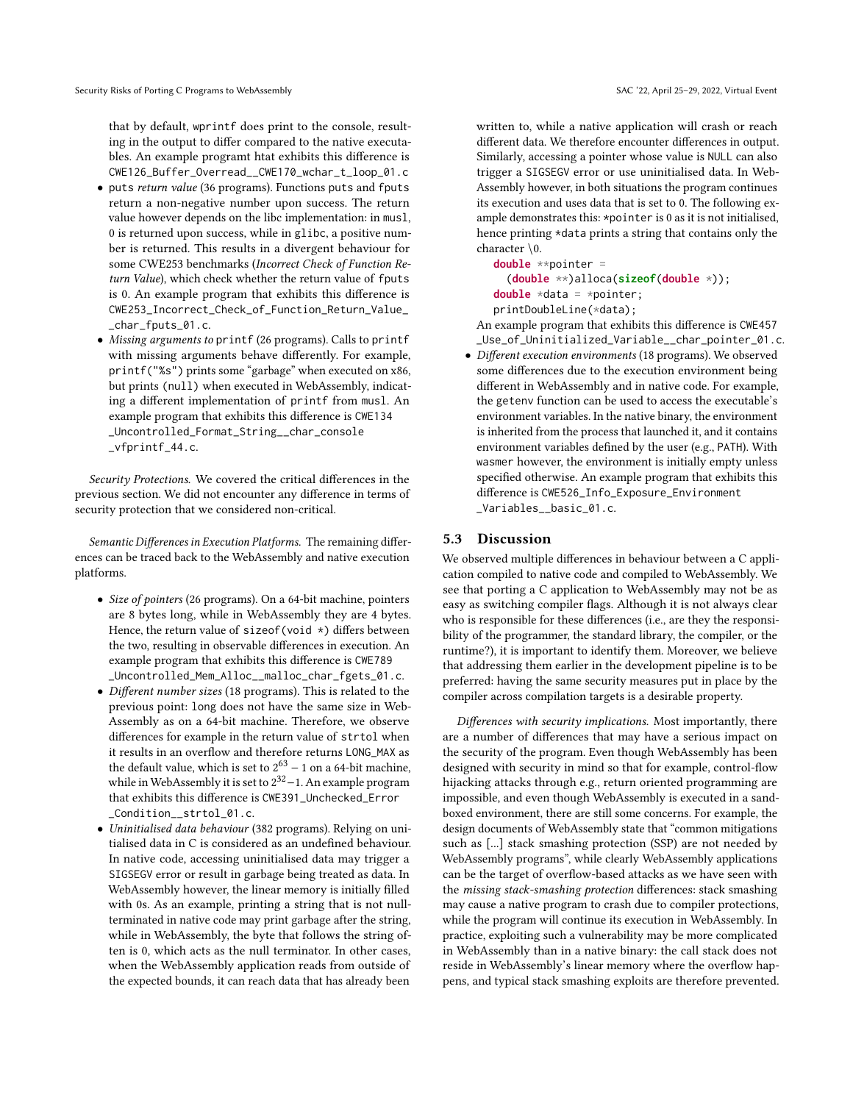that by default, wprintf does print to the console, resulting in the output to differ compared to the native executables. An example programt htat exhibits this difference is CWE126\_Buffer\_Overread\_\_CWE170\_wchar\_t\_loop\_01.c

- puts return value (36 programs). Functions puts and fputs return a non-negative number upon success. The return value however depends on the libc implementation: in musl, 0 is returned upon success, while in glibc, a positive number is returned. This results in a divergent behaviour for some CWE253 benchmarks (Incorrect Check of Function Return Value), which check whether the return value of fputs is 0. An example program that exhibits this difference is CWE253\_Incorrect\_Check\_of\_Function\_Return\_Value\_ \_char\_fputs\_01.c.
- Missing arguments to printf (26 programs). Calls to printf with missing arguments behave differently. For example, printf("%s") prints some "garbage" when executed on x86, but prints (null) when executed in WebAssembly, indicating a different implementation of printf from musl. An example program that exhibits this difference is CWE134 \_Uncontrolled\_Format\_String\_\_char\_console \_vfprintf\_44.c.

Security Protections. We covered the critical differences in the previous section. We did not encounter any difference in terms of security protection that we considered non-critical.

Semantic Differences in Execution Platforms. The remaining differences can be traced back to the WebAssembly and native execution platforms.

- Size of pointers (26 programs). On a 64-bit machine, pointers are 8 bytes long, while in WebAssembly they are 4 bytes. Hence, the return value of sizeof(void \*) differs between the two, resulting in observable differences in execution. An example program that exhibits this difference is CWE789 \_Uncontrolled\_Mem\_Alloc\_\_malloc\_char\_fgets\_01.c.
- Different number sizes (18 programs). This is related to the previous point: long does not have the same size in Web-Assembly as on a 64-bit machine. Therefore, we observe differences for example in the return value of strtol when it results in an overflow and therefore returns LONG\_MAX as the default value, which is set to  $2^{63} - 1$  on a 64-bit machine, while in WebAssembly it is set to 2<sup>32</sup>-1. An example program that exhibits this difference is CWE391\_Unchecked\_Error \_Condition\_\_strtol\_01.c.
- Uninitialised data behaviour (382 programs). Relying on unitialised data in C is considered as an undefined behaviour. In native code, accessing uninitialised data may trigger a SIGSEGV error or result in garbage being treated as data. In WebAssembly however, the linear memory is initially filled with 0s. As an example, printing a string that is not nullterminated in native code may print garbage after the string, while in WebAssembly, the byte that follows the string often is 0, which acts as the null terminator. In other cases, when the WebAssembly application reads from outside of the expected bounds, it can reach data that has already been

written to, while a native application will crash or reach different data. We therefore encounter differences in output. Similarly, accessing a pointer whose value is NULL can also trigger a SIGSEGV error or use uninitialised data. In Web-Assembly however, in both situations the program continues its execution and uses data that is set to 0. The following example demonstrates this: \*pointer is 0 as it is not initialised, hence printing \*data prints a string that contains only the character \0.

**double** \*\*pointer = (**double** \*\*)alloca(**sizeof**(**double** \*)); **double** \*data = \*pointer; printDoubleLine(\*data);

An example program that exhibits this difference is CWE457 \_Use\_of\_Uninitialized\_Variable\_\_char\_pointer\_01.c.

• Different execution environments (18 programs). We observed some differences due to the execution environment being different in WebAssembly and in native code. For example, the getenv function can be used to access the executable's environment variables. In the native binary, the environment is inherited from the process that launched it, and it contains environment variables defined by the user (e.g., PATH). With wasmer however, the environment is initially empty unless specified otherwise. An example program that exhibits this difference is CWE526\_Info\_Exposure\_Environment \_Variables\_\_basic\_01.c.

### 5.3 Discussion

We observed multiple differences in behaviour between a C application compiled to native code and compiled to WebAssembly. We see that porting a C application to WebAssembly may not be as easy as switching compiler flags. Although it is not always clear who is responsible for these differences (i.e., are they the responsibility of the programmer, the standard library, the compiler, or the runtime?), it is important to identify them. Moreover, we believe that addressing them earlier in the development pipeline is to be preferred: having the same security measures put in place by the compiler across compilation targets is a desirable property.

Differences with security implications. Most importantly, there are a number of differences that may have a serious impact on the security of the program. Even though WebAssembly has been designed with security in mind so that for example, control-flow hijacking attacks through e.g., return oriented programming are impossible, and even though WebAssembly is executed in a sandboxed environment, there are still some concerns. For example, the design documents of WebAssembly state that "common mitigations such as [...] stack smashing protection (SSP) are not needed by WebAssembly programs", while clearly WebAssembly applications can be the target of overflow-based attacks as we have seen with the missing stack-smashing protection differences: stack smashing may cause a native program to crash due to compiler protections, while the program will continue its execution in WebAssembly. In practice, exploiting such a vulnerability may be more complicated in WebAssembly than in a native binary: the call stack does not reside in WebAssembly's linear memory where the overflow happens, and typical stack smashing exploits are therefore prevented.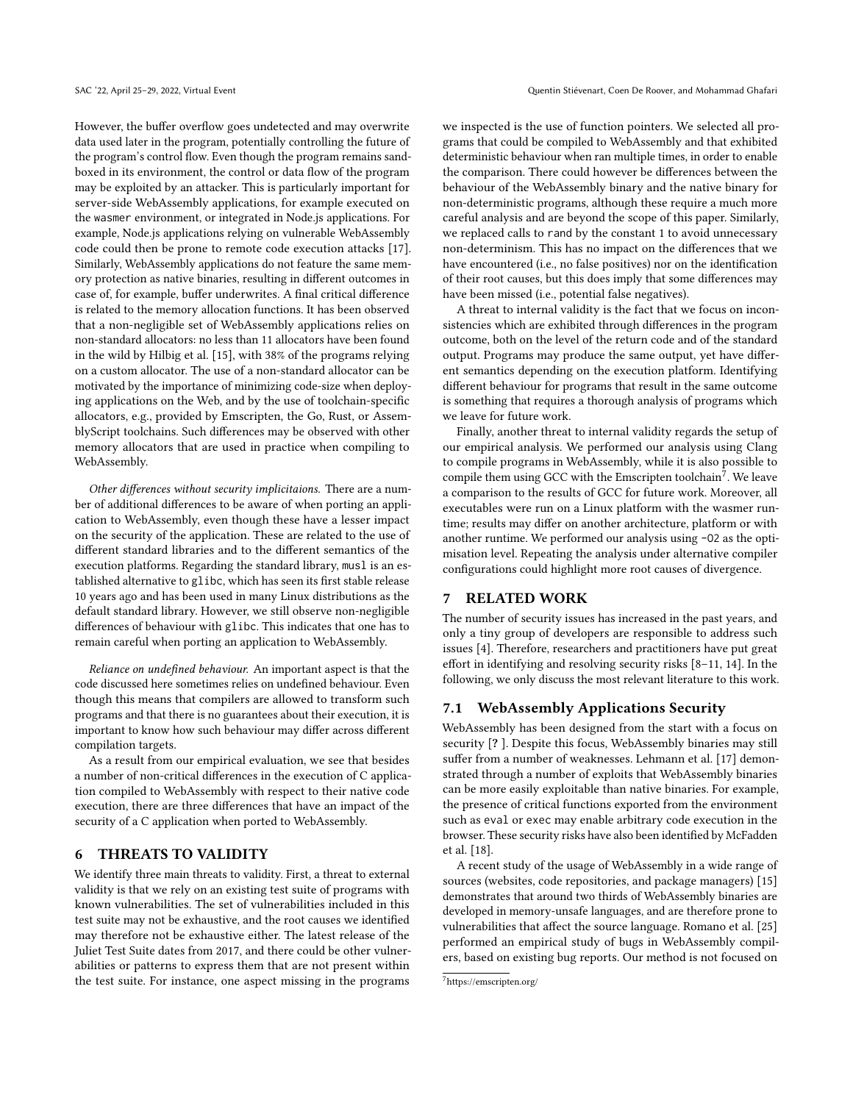However, the buffer overflow goes undetected and may overwrite data used later in the program, potentially controlling the future of the program's control flow. Even though the program remains sandboxed in its environment, the control or data flow of the program may be exploited by an attacker. This is particularly important for server-side WebAssembly applications, for example executed on the wasmer environment, or integrated in Node.js applications. For example, Node.js applications relying on vulnerable WebAssembly code could then be prone to remote code execution attacks [\[17\]](#page-9-5). Similarly, WebAssembly applications do not feature the same memory protection as native binaries, resulting in different outcomes in case of, for example, buffer underwrites. A final critical difference is related to the memory allocation functions. It has been observed that a non-negligible set of WebAssembly applications relies on non-standard allocators: no less than 11 allocators have been found in the wild by Hilbig et al. [\[15\]](#page-9-7), with 38% of the programs relying on a custom allocator. The use of a non-standard allocator can be motivated by the importance of minimizing code-size when deploying applications on the Web, and by the use of toolchain-specific allocators, e.g., provided by Emscripten, the Go, Rust, or AssemblyScript toolchains. Such differences may be observed with other memory allocators that are used in practice when compiling to WebAssembly.

Other differences without security implicitaions. There are a number of additional differences to be aware of when porting an application to WebAssembly, even though these have a lesser impact on the security of the application. These are related to the use of different standard libraries and to the different semantics of the execution platforms. Regarding the standard library, musl is an established alternative to glibc, which has seen its first stable release 10 years ago and has been used in many Linux distributions as the default standard library. However, we still observe non-negligible differences of behaviour with glibc. This indicates that one has to remain careful when porting an application to WebAssembly.

Reliance on undefined behaviour. An important aspect is that the code discussed here sometimes relies on undefined behaviour. Even though this means that compilers are allowed to transform such programs and that there is no guarantees about their execution, it is important to know how such behaviour may differ across different compilation targets.

As a result from our empirical evaluation, we see that besides a number of non-critical differences in the execution of C application compiled to WebAssembly with respect to their native code execution, there are three differences that have an impact of the security of a C application when ported to WebAssembly.

### <span id="page-7-0"></span>6 THREATS TO VALIDITY

We identify three main threats to validity. First, a threat to external validity is that we rely on an existing test suite of programs with known vulnerabilities. The set of vulnerabilities included in this test suite may not be exhaustive, and the root causes we identified may therefore not be exhaustive either. The latest release of the Juliet Test Suite dates from 2017, and there could be other vulnerabilities or patterns to express them that are not present within the test suite. For instance, one aspect missing in the programs

we inspected is the use of function pointers. We selected all programs that could be compiled to WebAssembly and that exhibited deterministic behaviour when ran multiple times, in order to enable the comparison. There could however be differences between the behaviour of the WebAssembly binary and the native binary for non-deterministic programs, although these require a much more careful analysis and are beyond the scope of this paper. Similarly, we replaced calls to rand by the constant 1 to avoid unnecessary non-determinism. This has no impact on the differences that we have encountered (i.e., no false positives) nor on the identification of their root causes, but this does imply that some differences may have been missed (i.e., potential false negatives).

A threat to internal validity is the fact that we focus on inconsistencies which are exhibited through differences in the program outcome, both on the level of the return code and of the standard output. Programs may produce the same output, yet have different semantics depending on the execution platform. Identifying different behaviour for programs that result in the same outcome is something that requires a thorough analysis of programs which we leave for future work.

Finally, another threat to internal validity regards the setup of our empirical analysis. We performed our analysis using Clang to compile programs in WebAssembly, while it is also possible to compile them using GCC with the Emscripten toolchain<sup>[7](#page-7-2)</sup>. We leave a comparison to the results of GCC for future work. Moreover, all executables were run on a Linux platform with the wasmer runtime; results may differ on another architecture, platform or with another runtime. We performed our analysis using -O2 as the optimisation level. Repeating the analysis under alternative compiler configurations could highlight more root causes of divergence.

# <span id="page-7-1"></span>7 RELATED WORK

The number of security issues has increased in the past years, and only a tiny group of developers are responsible to address such issues [\[4\]](#page-8-3). Therefore, researchers and practitioners have put great effort in identifying and resolving security risks [\[8](#page-8-4)[–11,](#page-9-8) [14\]](#page-9-9). In the following, we only discuss the most relevant literature to this work.

### 7.1 WebAssembly Applications Security

WebAssembly has been designed from the start with a focus on security [? ]. Despite this focus, WebAssembly binaries may still suffer from a number of weaknesses. Lehmann et al. [\[17\]](#page-9-5) demonstrated through a number of exploits that WebAssembly binaries can be more easily exploitable than native binaries. For example, the presence of critical functions exported from the environment such as eval or exec may enable arbitrary code execution in the browser. These security risks have also been identified by McFadden et al. [\[18\]](#page-9-6).

A recent study of the usage of WebAssembly in a wide range of sources (websites, code repositories, and package managers) [\[15\]](#page-9-7) demonstrates that around two thirds of WebAssembly binaries are developed in memory-unsafe languages, and are therefore prone to vulnerabilities that affect the source language. Romano et al. [\[25\]](#page-9-10) performed an empirical study of bugs in WebAssembly compilers, based on existing bug reports. Our method is not focused on

<span id="page-7-2"></span><sup>7</sup><https://emscripten.org/>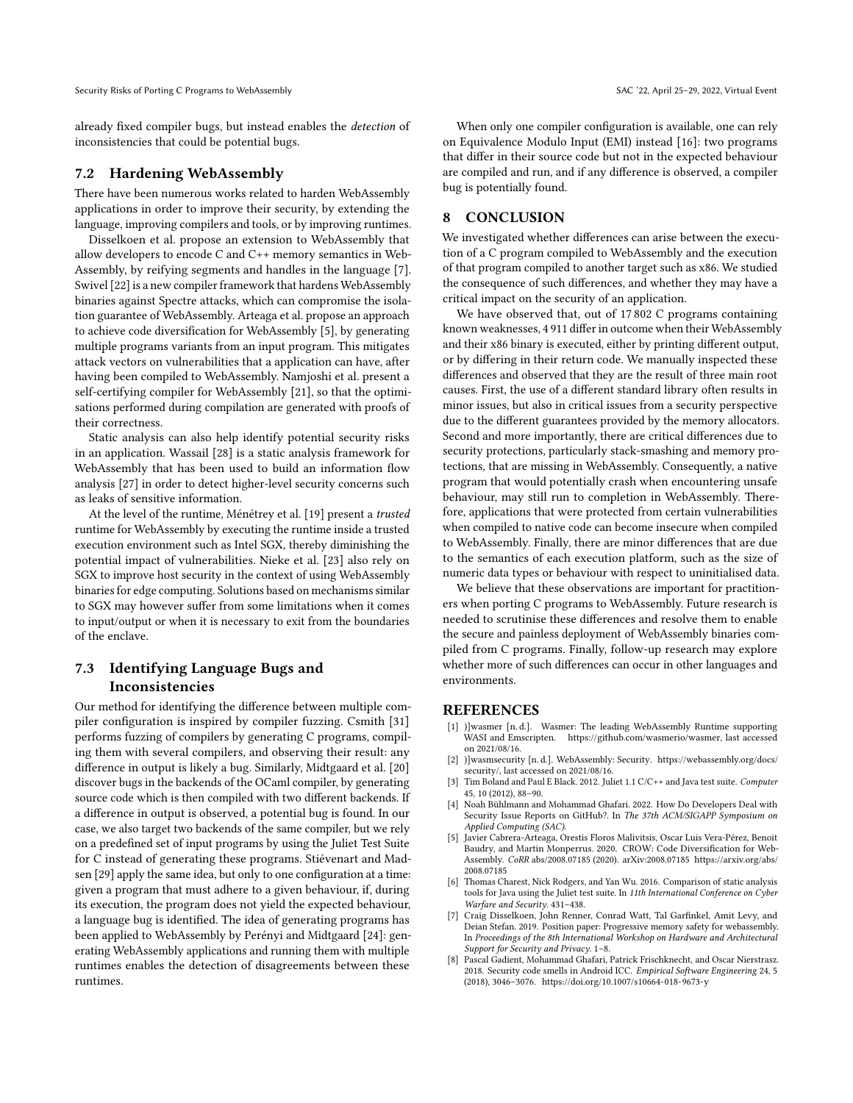Security Risks of Porting C Programs to WebAssembly SAC '22, April 25-29, 2022, Virtual Event

already fixed compiler bugs, but instead enables the detection of inconsistencies that could be potential bugs.

### 7.2 Hardening WebAssembly

There have been numerous works related to harden WebAssembly applications in order to improve their security, by extending the language, improving compilers and tools, or by improving runtimes.

Disselkoen et al. propose an extension to WebAssembly that allow developers to encode C and C++ memory semantics in Web-Assembly, by reifying segments and handles in the language [\[7\]](#page-8-5). Swivel [\[22\]](#page-9-11) is a new compiler framework that hardens WebAssembly binaries against Spectre attacks, which can compromise the isolation guarantee of WebAssembly. Arteaga et al. propose an approach to achieve code diversification for WebAssembly [\[5\]](#page-8-6), by generating multiple programs variants from an input program. This mitigates attack vectors on vulnerabilities that a application can have, after having been compiled to WebAssembly. Namjoshi et al. present a self-certifying compiler for WebAssembly [\[21\]](#page-9-12), so that the optimisations performed during compilation are generated with proofs of their correctness.

Static analysis can also help identify potential security risks in an application. Wassail [\[28\]](#page-9-13) is a static analysis framework for WebAssembly that has been used to build an information flow analysis [\[27\]](#page-9-14) in order to detect higher-level security concerns such as leaks of sensitive information.

At the level of the runtime, Ménétrey et al. [\[19\]](#page-9-15) present a trusted runtime for WebAssembly by executing the runtime inside a trusted execution environment such as Intel SGX, thereby diminishing the potential impact of vulnerabilities. Nieke et al. [\[23\]](#page-9-16) also rely on SGX to improve host security in the context of using WebAssembly binaries for edge computing. Solutions based on mechanisms similar to SGX may however suffer from some limitations when it comes to input/output or when it is necessary to exit from the boundaries of the enclave.

# 7.3 Identifying Language Bugs and Inconsistencies

Our method for identifying the difference between multiple compiler configuration is inspired by compiler fuzzing. Csmith [\[31\]](#page-9-17) performs fuzzing of compilers by generating C programs, compiling them with several compilers, and observing their result: any difference in output is likely a bug. Similarly, Midtgaard et al. [\[20\]](#page-9-18) discover bugs in the backends of the OCaml compiler, by generating source code which is then compiled with two different backends. If a difference in output is observed, a potential bug is found. In our case, we also target two backends of the same compiler, but we rely on a predefined set of input programs by using the Juliet Test Suite for C instead of generating these programs. Stiévenart and Madsen [\[29\]](#page-9-19) apply the same idea, but only to one configuration at a time: given a program that must adhere to a given behaviour, if, during its execution, the program does not yield the expected behaviour, a language bug is identified. The idea of generating programs has been applied to WebAssembly by Perényi and Midtgaard [\[24\]](#page-9-20): generating WebAssembly applications and running them with multiple runtimes enables the detection of disagreements between these runtimes.

When only one compiler configuration is available, one can rely on Equivalence Modulo Input (EMI) instead [\[16\]](#page-9-21): two programs that differ in their source code but not in the expected behaviour are compiled and run, and if any difference is observed, a compiler bug is potentially found.

# <span id="page-8-0"></span>8 CONCLUSION

We investigated whether differences can arise between the execution of a C program compiled to WebAssembly and the execution of that program compiled to another target such as x86. We studied the consequence of such differences, and whether they may have a critical impact on the security of an application.

We have observed that, out of 17 802 C programs containing known weaknesses, 4 911 differ in outcome when their WebAssembly and their x86 binary is executed, either by printing different output, or by differing in their return code. We manually inspected these differences and observed that they are the result of three main root causes. First, the use of a different standard library often results in minor issues, but also in critical issues from a security perspective due to the different guarantees provided by the memory allocators. Second and more importantly, there are critical differences due to security protections, particularly stack-smashing and memory protections, that are missing in WebAssembly. Consequently, a native program that would potentially crash when encountering unsafe behaviour, may still run to completion in WebAssembly. Therefore, applications that were protected from certain vulnerabilities when compiled to native code can become insecure when compiled to WebAssembly. Finally, there are minor differences that are due to the semantics of each execution platform, such as the size of numeric data types or behaviour with respect to uninitialised data.

We believe that these observations are important for practitioners when porting C programs to WebAssembly. Future research is needed to scrutinise these differences and resolve them to enable the secure and painless deployment of WebAssembly binaries compiled from C programs. Finally, follow-up research may explore whether more of such differences can occur in other languages and environments.

### **REFERENCES**

- [1] )]wasmer [n. d.]. Wasmer: The leading WebAssembly Runtime supporting WASI and Emscripten. [https://github.com/wasmerio/wasmer,](https://github.com/wasmerio/wasmer) last accessed on 2021/08/16.
- [2] )]wasmsecurity [n. d.]. WebAssembly: Security. [https://webassembly.org/docs/](https://webassembly.org/docs/security/) [security/,](https://webassembly.org/docs/security/) last accessed on 2021/08/16.
- <span id="page-8-1"></span>Tim Boland and Paul E Black. 2012. Juliet 1.1 C/C++ and Java test suite. Computer 45, 10 (2012), 88–90.
- <span id="page-8-3"></span>[4] Noah Bühlmann and Mohammad Ghafari. 2022. How Do Developers Deal with Security Issue Reports on GitHub?. In The 37th ACM/SIGAPP Symposium on Applied Computing (SAC).
- <span id="page-8-6"></span>[5] Javier Cabrera-Arteaga, Orestis Floros Malivitsis, Oscar Luis Vera-Pérez, Benoit Baudry, and Martin Monperrus. 2020. CROW: Code Diversification for Web-Assembly. CoRR abs/2008.07185 (2020). arXiv[:2008.07185 https://arxiv.org/abs/](https://arxiv.org/abs/2008.07185) [2008.07185](https://arxiv.org/abs/2008.07185)
- <span id="page-8-2"></span>[6] Thomas Charest, Nick Rodgers, and Yan Wu. 2016. Comparison of static analysis tools for Java using the Juliet test suite. In 11th International Conference on Cyber Warfare and Security. 431–438.
- <span id="page-8-5"></span>[7] Craig Disselkoen, John Renner, Conrad Watt, Tal Garfinkel, Amit Levy, and Deian Stefan. 2019. Position paper: Progressive memory safety for webassembly. In Proceedings of the 8th International Workshop on Hardware and Architectural Support for Security and Privacy. 1–8.
- <span id="page-8-4"></span>[8] Pascal Gadient, Mohammad Ghafari, Patrick Frischknecht, and Oscar Nierstrasz. 2018. Security code smells in Android ICC. Empirical Software Engineering 24, 5 (2018), 3046–3076.<https://doi.org/10.1007/s10664-018-9673-y>